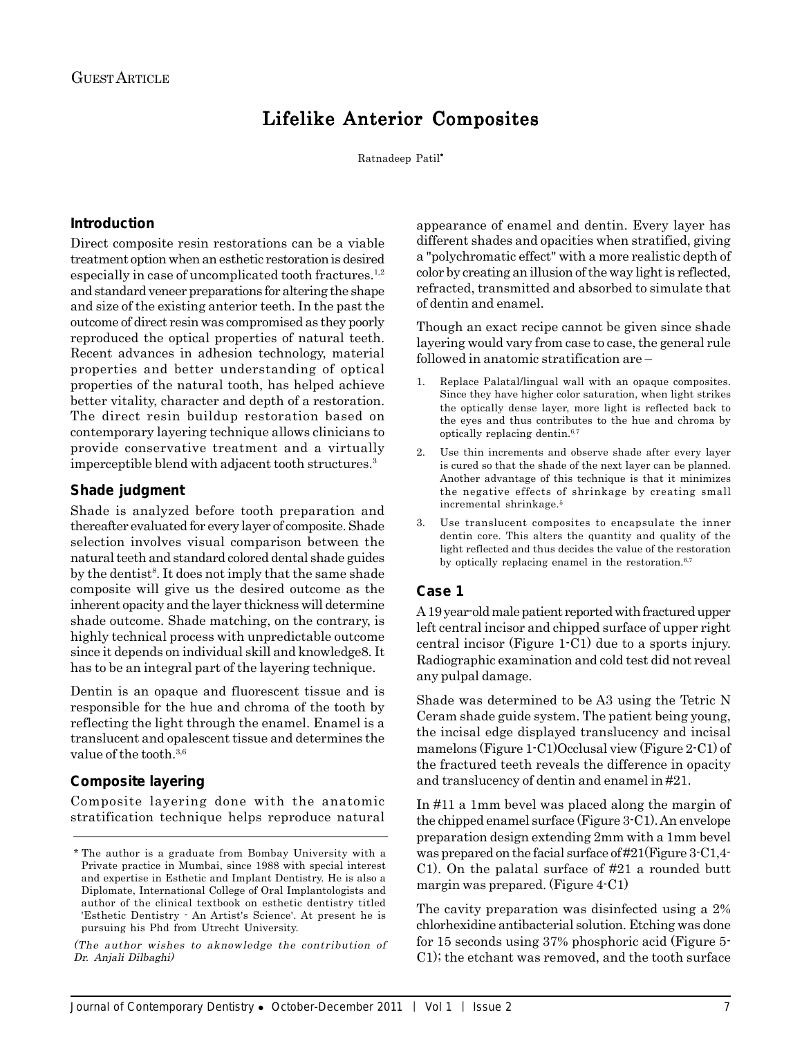# Lifelike Anterior Composites

Ratnadeep Patil\*

### **Introduction**

Direct composite resin restorations can be a viable treatment option when an esthetic restoration is desired especially in case of uncomplicated tooth fractures.<sup>1,2</sup> and standard veneer preparations for altering the shape and size of the existing anterior teeth. In the past the outcome of direct resin was compromised as they poorly reproduced the optical properties of natural teeth. Recent advances in adhesion technology, material properties and better understanding of optical properties of the natural tooth, has helped achieve better vitality, character and depth of a restoration. The direct resin buildup restoration based on contemporary layering technique allows clinicians to provide conservative treatment and a virtually imperceptible blend with adjacent tooth structures.3

#### **Shade judgment**

Shade is analyzed before tooth preparation and thereafter evaluated for every layer of composite. Shade selection involves visual comparison between the natural teeth and standard colored dental shade guides by the dentist<sup>8</sup>. It does not imply that the same shade composite will give us the desired outcome as the inherent opacity and the layer thickness will determine shade outcome. Shade matching, on the contrary, is highly technical process with unpredictable outcome since it depends on individual skill and knowledge8. It has to be an integral part of the layering technique.

Dentin is an opaque and fluorescent tissue and is responsible for the hue and chroma of the tooth by reflecting the light through the enamel. Enamel is a translucent and opalescent tissue and determines the value of the tooth.<sup>3,6</sup>

# **Composite layering**

Composite layering done with the anatomic stratification technique helps reproduce natural

(The author wishes to aknowledge the contribution of Dr. Anjali Dilbaghi)

appearance of enamel and dentin. Every layer has different shades and opacities when stratified, giving a "polychromatic effect" with a more realistic depth of color by creating an illusion of the way light is reflected, refracted, transmitted and absorbed to simulate that of dentin and enamel.

Though an exact recipe cannot be given since shade layering would vary from case to case, the general rule followed in anatomic stratification are –

- 1. Replace Palatal/lingual wall with an opaque composites. Since they have higher color saturation, when light strikes the optically dense layer, more light is reflected back to the eyes and thus contributes to the hue and chroma by optically replacing dentin.6,7
- 2. Use thin increments and observe shade after every layer is cured so that the shade of the next layer can be planned. Another advantage of this technique is that it minimizes the negative effects of shrinkage by creating small incremental shrinkage.5
- 3. Use translucent composites to encapsulate the inner dentin core. This alters the quantity and quality of the light reflected and thus decides the value of the restoration by optically replacing enamel in the restoration.<sup>6,7</sup>

# **Case 1**

A 19 year-old male patient reported with fractured upper left central incisor and chipped surface of upper right central incisor (Figure 1-C1) due to a sports injury. Radiographic examination and cold test did not reveal any pulpal damage.

Shade was determined to be A3 using the Tetric N Ceram shade guide system. The patient being young, the incisal edge displayed translucency and incisal mamelons (Figure 1-C1)Occlusal view (Figure 2-C1) of the fractured teeth reveals the difference in opacity and translucency of dentin and enamel in #21.

In #11 a 1mm bevel was placed along the margin of the chipped enamel surface (Figure 3-C1). An envelope preparation design extending 2mm with a 1mm bevel was prepared on the facial surface of #21(Figure 3-C1,4- C1). On the palatal surface of #21 a rounded butt margin was prepared. (Figure 4-C1)

The cavity preparation was disinfected using a 2% chlorhexidine antibacterial solution. Etching was done for 15 seconds using 37% phosphoric acid (Figure 5- C1); the etchant was removed, and the tooth surface

<sup>\*</sup> The author is a graduate from Bombay University with a Private practice in Mumbai, since 1988 with special interest and expertise in Esthetic and Implant Dentistry. He is also a Diplomate, International College of Oral Implantologists and author of the clinical textbook on esthetic dentistry titled 'Esthetic Dentistry - An Artist's Science'. At present he is pursuing his Phd from Utrecht University.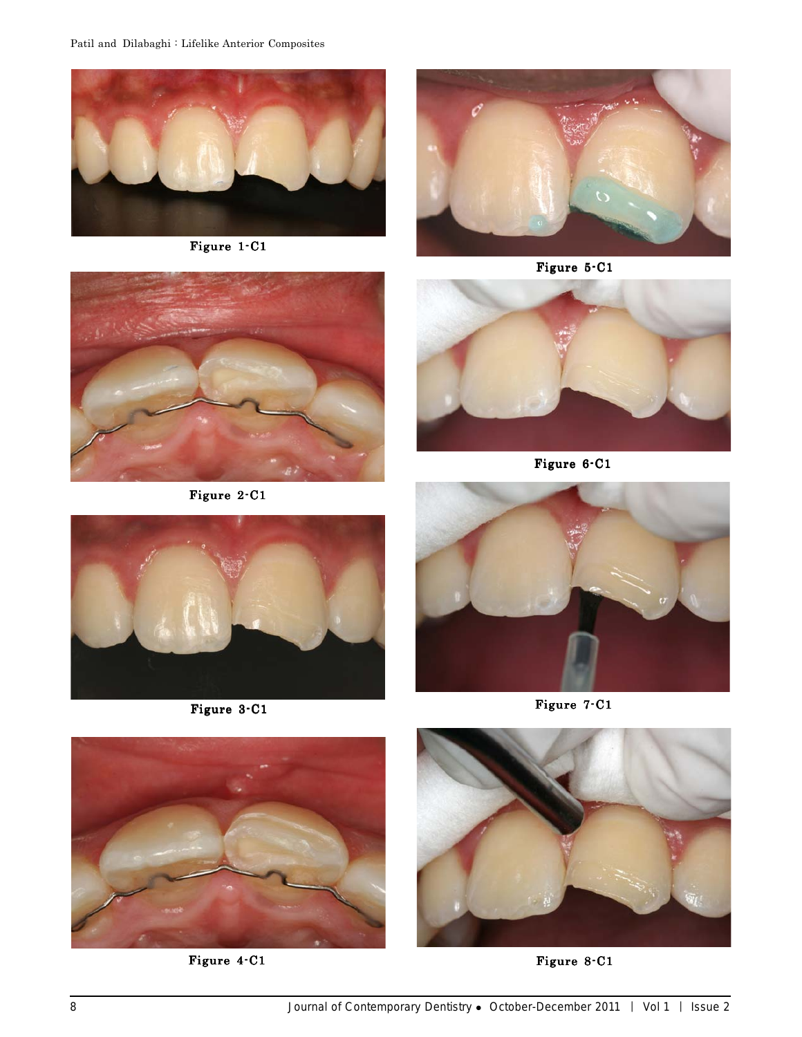

Figure 1-C1



Figure 5-C1



Figure 2-C1



Figure 6-C1



Figure 3-C1



Figure 7-C1



Figure 4-C1



Figure 8-C1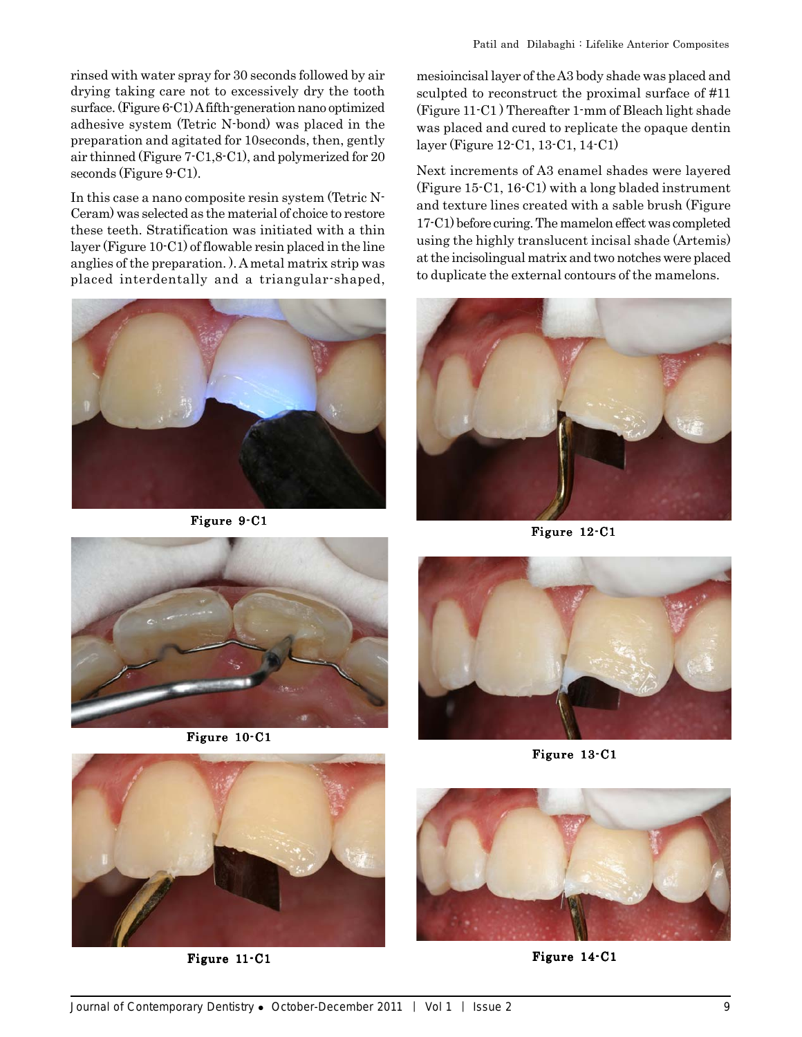rinsed with water spray for 30 seconds followed by air drying taking care not to excessively dry the tooth surface. (Figure 6-C1) A fifth-generation nano optimized adhesive system (Tetric N-bond) was placed in the preparation and agitated for 10seconds, then, gently air thinned (Figure 7-C1,8-C1), and polymerized for 20 seconds (Figure 9-C1).

In this case a nano composite resin system (Tetric N-Ceram) was selected as the material of choice to restore these teeth. Stratification was initiated with a thin layer (Figure 10-C1) of flowable resin placed in the line anglies of the preparation. ). A metal matrix strip was placed interdentally and a triangular-shaped,



Figure 9-C1

mesioincisal layer of the A3 body shade was placed and sculpted to reconstruct the proximal surface of #11 (Figure 11-C1 ) Thereafter 1-mm of Bleach light shade was placed and cured to replicate the opaque dentin layer (Figure 12-C1, 13-C1, 14-C1)

Next increments of A3 enamel shades were layered (Figure 15-C1, 16-C1) with a long bladed instrument and texture lines created with a sable brush (Figure 17-C1) before curing. The mamelon effect was completed using the highly translucent incisal shade (Artemis) at the incisolingual matrix and two notches were placed to duplicate the external contours of the mamelons.



Figure 12-C1



Figure 10-C1



Figure 13-C1



Figure 11-C1



Figure 14-C1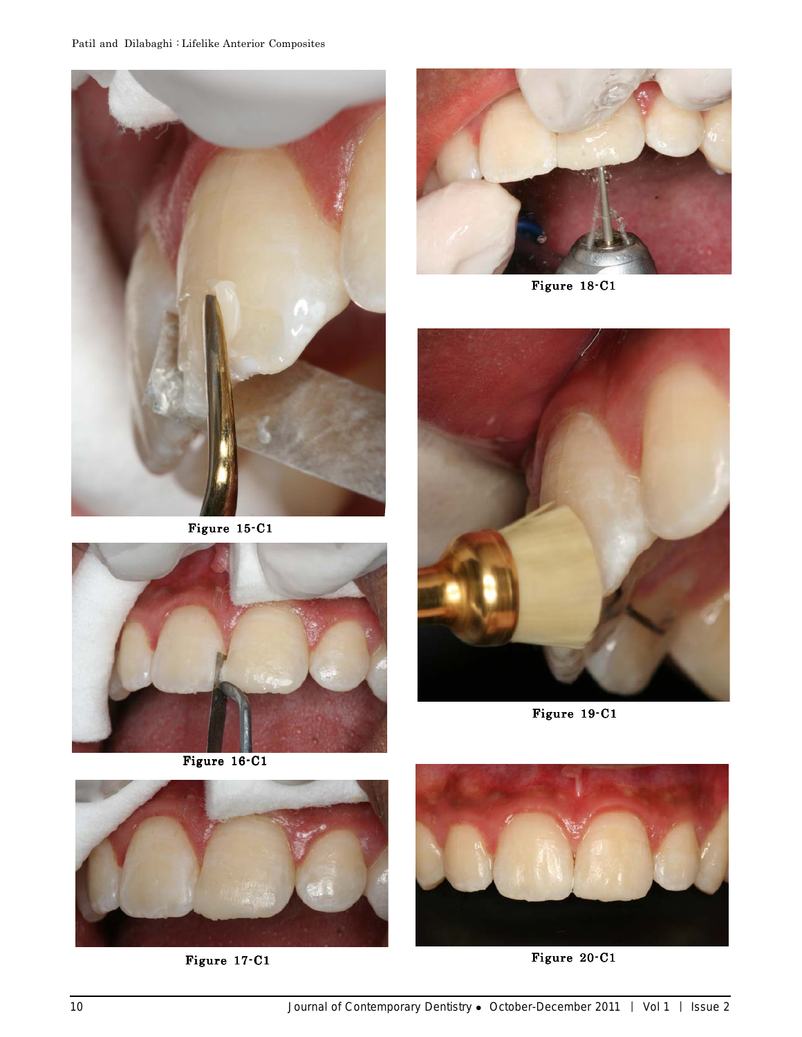

Figure 15-C1



Figure 16-C1



Figure 18-C1



Figure 19-C1



Figure 17-C1 Figure 20-C1

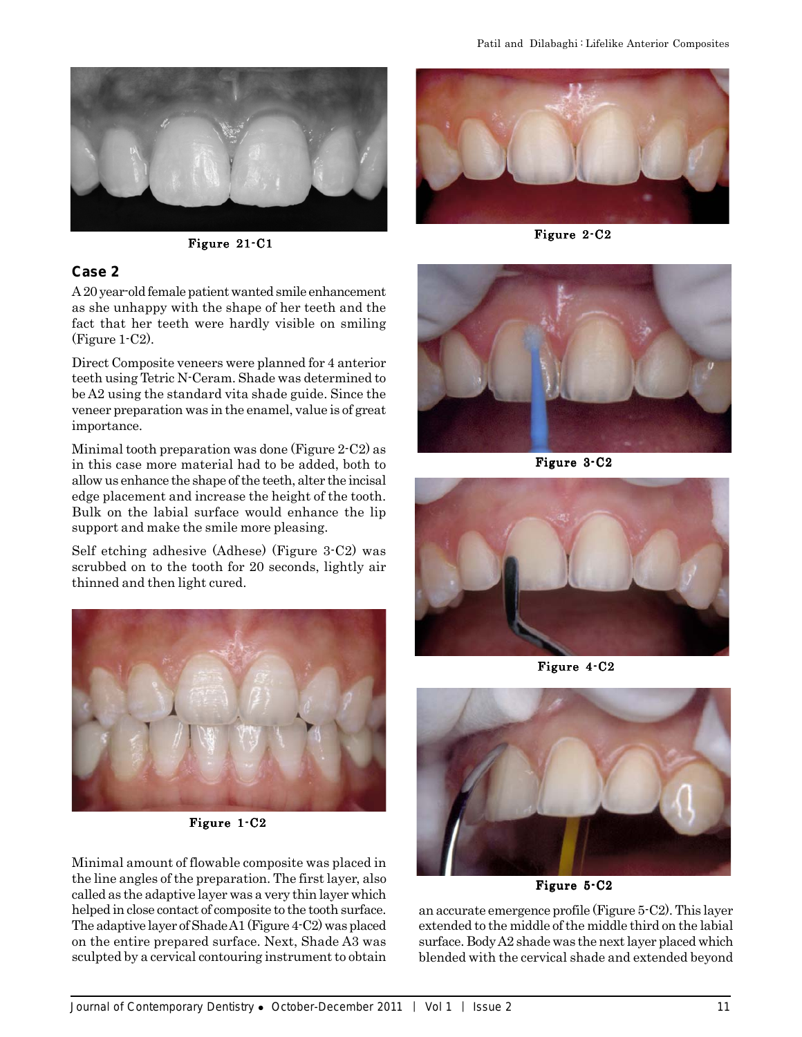



#### **Case 2**

A 20 year-old female patient wanted smile enhancement as she unhappy with the shape of her teeth and the fact that her teeth were hardly visible on smiling (Figure 1-C2).

Direct Composite veneers were planned for 4 anterior teeth using Tetric N-Ceram. Shade was determined to be A2 using the standard vita shade guide. Since the veneer preparation was in the enamel, value is of great importance.

Minimal tooth preparation was done (Figure 2-C2) as in this case more material had to be added, both to allow us enhance the shape of the teeth, alter the incisal edge placement and increase the height of the tooth. Bulk on the labial surface would enhance the lip support and make the smile more pleasing.

Self etching adhesive (Adhese) (Figure 3-C2) was scrubbed on to the tooth for 20 seconds, lightly air thinned and then light cured.



Figure 1-C2

Minimal amount of flowable composite was placed in the line angles of the preparation. The first layer, also called as the adaptive layer was a very thin layer which helped in close contact of composite to the tooth surface. The adaptive layer of Shade A1 (Figure 4-C2) was placed on the entire prepared surface. Next, Shade A3 was sculpted by a cervical contouring instrument to obtain



Figure 2-C2



Figure 3-C2



Figure 4-C2



Figure 5-C2

an accurate emergence profile (Figure 5-C2). This layer extended to the middle of the middle third on the labial surface. Body A2 shade was the next layer placed which blended with the cervical shade and extended beyond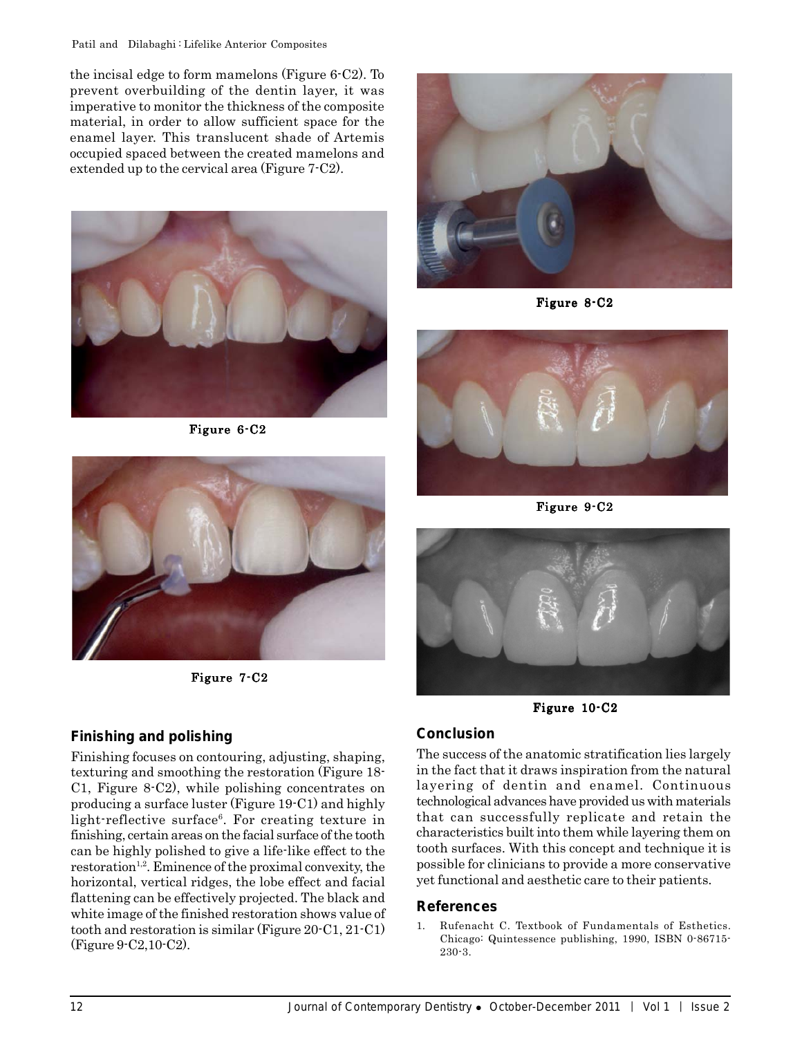#### Patil and Dilabaghi : Lifelike Anterior Composites

the incisal edge to form mamelons (Figure 6-C2). To prevent overbuilding of the dentin layer, it was imperative to monitor the thickness of the composite material, in order to allow sufficient space for the enamel layer. This translucent shade of Artemis occupied spaced between the created mamelons and extended up to the cervical area (Figure 7-C2).



Figure 6-C2



Figure 7-C2

# **Finishing and polishing**

Finishing focuses on contouring, adjusting, shaping, texturing and smoothing the restoration (Figure 18- C1, Figure 8-C2), while polishing concentrates on producing a surface luster (Figure 19-C1) and highly light-reflective surface<sup>6</sup>. For creating texture in finishing, certain areas on the facial surface of the tooth can be highly polished to give a life-like effect to the  $r$ estoration<sup>1,2</sup>. Eminence of the proximal convexity, the horizontal, vertical ridges, the lobe effect and facial flattening can be effectively projected. The black and white image of the finished restoration shows value of tooth and restoration is similar (Figure 20-C1, 21-C1) (Figure 9-C2,10-C2).



Figure 8-C2



Figure 9-C2



Figure 10-C2

# **Conclusion**

The success of the anatomic stratification lies largely in the fact that it draws inspiration from the natural layering of dentin and enamel. Continuous technological advances have provided us with materials that can successfully replicate and retain the characteristics built into them while layering them on tooth surfaces. With this concept and technique it is possible for clinicians to provide a more conservative yet functional and aesthetic care to their patients.

# **References**

1. Rufenacht C. Textbook of Fundamentals of Esthetics. Chicago: Quintessence publishing, 1990, ISBN 0-86715- 230-3.